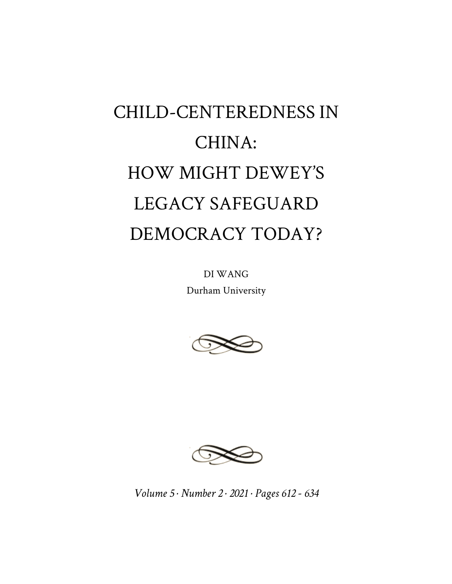# CHILD-CENTEREDNESS IN CHINA: HOW MIGHT DEWEY'S LEGACY SAFEGUARD DEMOCRACY TODAY?

DI WANG Durham University





*Volume 5 · Number 2 · 2021 · Pages 612 - 634*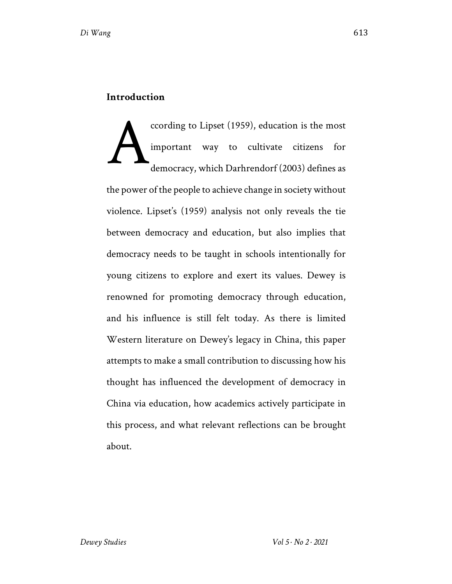#### **Introduction**

ccording to Lipset (1959), education is the most important way to cultivate citizens for democracy, which Darhrendorf (2003) defines as the power of the people to achieve change in society without violence. Lipset's (1959) analysis not only reveals the tie between democracy and education, but also implies that democracy needs to be taught in schools intentionally for young citizens to explore and exert its values. Dewey is renowned for promoting democracy through education, and his influence is still felt today. As there is limited Western literature on Dewey's legacy in China, this paper attempts to make a small contribution to discussing how his thought has influenced the development of democracy in China via education, how academics actively participate in this process, and what relevant reflections can be brought about. A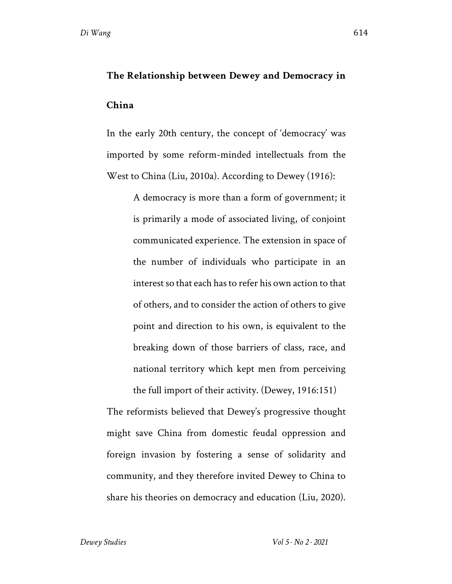### **The Relationship between Dewey and Democracy in**

#### **China**

In the early 20th century, the concept of 'democracy' was imported by some reform-minded intellectuals from the West to China (Liu, 2010a). According to Dewey (1916):

> A democracy is more than a form of government; it is primarily a mode of associated living, of conjoint communicated experience. The extension in space of the number of individuals who participate in an interest so that each has to refer his own action to that of others, and to consider the action of others to give point and direction to his own, is equivalent to the breaking down of those barriers of class, race, and national territory which kept men from perceiving

The reformists believed that Dewey's progressive thought might save China from domestic feudal oppression and foreign invasion by fostering a sense of solidarity and community, and they therefore invited Dewey to China to share his theories on democracy and education (Liu, 2020).

the full import of their activity. (Dewey, 1916:151)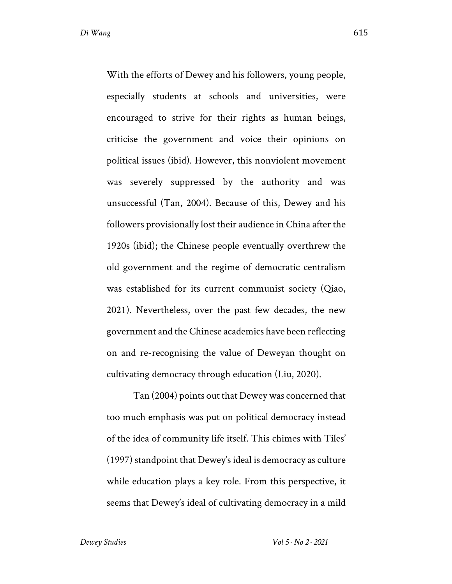With the efforts of Dewey and his followers, young people, especially students at schools and universities, were encouraged to strive for their rights as human beings, criticise the government and voice their opinions on political issues (ibid). However, this nonviolent movement was severely suppressed by the authority and was unsuccessful (Tan, 2004). Because of this, Dewey and his followers provisionally lost their audience in China after the 1920s (ibid); the Chinese people eventually overthrew the old government and the regime of democratic centralism was established for its current communist society (Qiao, 2021). Nevertheless, over the past few decades, the new government and the Chinese academics have been reflecting on and re-recognising the value of Deweyan thought on cultivating democracy through education (Liu, 2020).

Tan (2004) points out that Dewey was concerned that too much emphasis was put on political democracy instead of the idea of community life itself. This chimes with Tiles' (1997) standpoint that Dewey's ideal is democracy as culture while education plays a key role. From this perspective, it seems that Dewey's ideal of cultivating democracy in a mild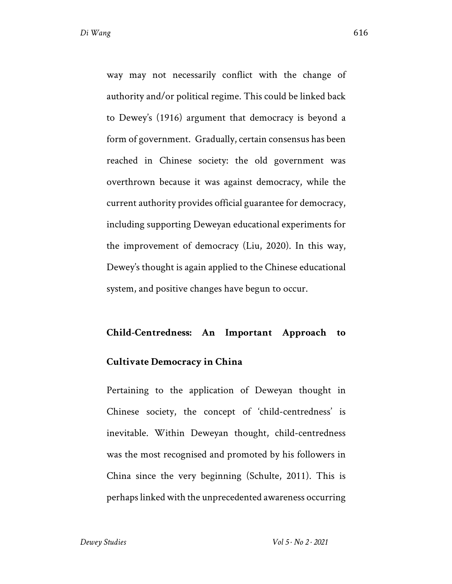way may not necessarily conflict with the change of authority and/or political regime. This could be linked back to Dewey's (1916) argument that democracy is beyond a form of government. Gradually, certain consensus has been reached in Chinese society: the old government was overthrown because it was against democracy, while the current authority provides official guarantee for democracy, including supporting Deweyan educational experiments for the improvement of democracy (Liu, 2020). In this way, Dewey's thought is again applied to the Chinese educational system, and positive changes have begun to occur.

#### **Child-Centredness: An Important Approach to**

#### **Cultivate Democracy in China**

Pertaining to the application of Deweyan thought in Chinese society, the concept of 'child-centredness' is inevitable. Within Deweyan thought, child-centredness was the most recognised and promoted by his followers in China since the very beginning (Schulte, 2011). This is perhaps linked with the unprecedented awareness occurring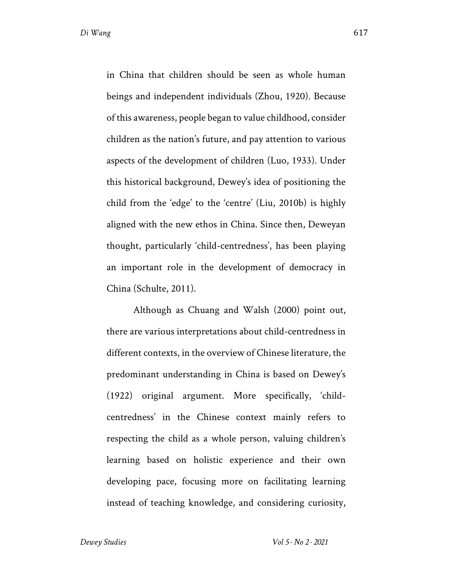in China that children should be seen as whole human beings and independent individuals (Zhou, 1920). Because of this awareness, people began to value childhood, consider children as the nation's future, and pay attention to various aspects of the development of children (Luo, 1933). Under this historical background, Dewey's idea of positioning the child from the 'edge' to the 'centre' (Liu, 2010b) is highly aligned with the new ethos in China. Since then, Deweyan thought, particularly 'child-centredness', has been playing an important role in the development of democracy in China (Schulte, 2011).

Although as Chuang and Walsh (2000) point out, there are various interpretations about child-centredness in different contexts, in the overview of Chinese literature, the predominant understanding in China is based on Dewey's (1922) original argument. More specifically, 'childcentredness' in the Chinese context mainly refers to respecting the child as a whole person, valuing children's learning based on holistic experience and their own developing pace, focusing more on facilitating learning instead of teaching knowledge, and considering curiosity,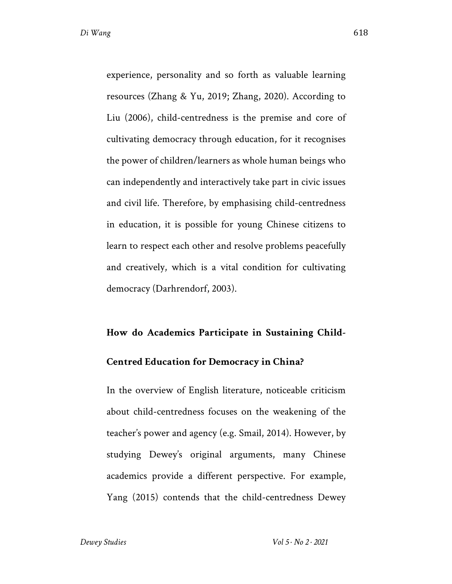experience, personality and so forth as valuable learning resources (Zhang & Yu, 2019; Zhang, 2020). According to Liu (2006), child-centredness is the premise and core of cultivating democracy through education, for it recognises the power of children/learners as whole human beings who can independently and interactively take part in civic issues and civil life. Therefore, by emphasising child-centredness in education, it is possible for young Chinese citizens to learn to respect each other and resolve problems peacefully and creatively, which is a vital condition for cultivating democracy (Darhrendorf, 2003).

#### **How do Academics Participate in Sustaining Child-**

#### **Centred Education for Democracy in China?**

In the overview of English literature, noticeable criticism about child-centredness focuses on the weakening of the teacher's power and agency (e.g. Smail, 2014). However, by studying Dewey's original arguments, many Chinese academics provide a different perspective. For example, Yang (2015) contends that the child-centredness Dewey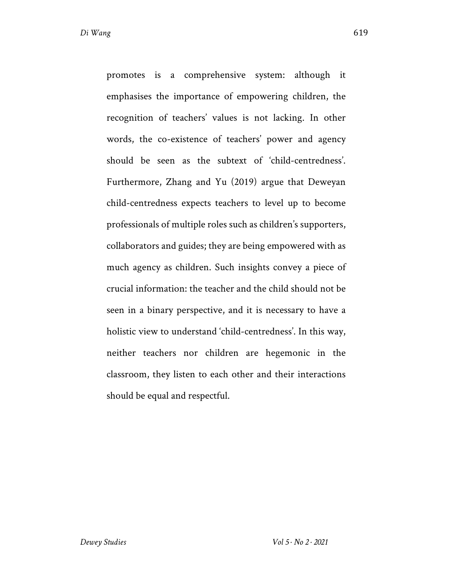promotes is a comprehensive system: although it emphasises the importance of empowering children, the recognition of teachers' values is not lacking. In other words, the co-existence of teachers' power and agency should be seen as the subtext of 'child-centredness'. Furthermore, Zhang and Yu (2019) argue that Deweyan child-centredness expects teachers to level up to become professionals of multiple roles such as children's supporters, collaborators and guides; they are being empowered with as much agency as children. Such insights convey a piece of crucial information: the teacher and the child should not be seen in a binary perspective, and it is necessary to have a holistic view to understand 'child-centredness'. In this way, neither teachers nor children are hegemonic in the classroom, they listen to each other and their interactions should be equal and respectful.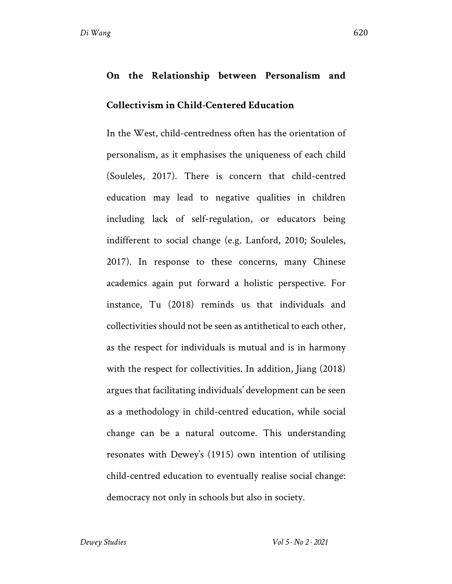## **On the Relationship between Personalism and Collectivism in Child-Centered Education**

In the West, child-centredness often has the orientation of personalism, as it emphasises the uniqueness of each child (Souleles, 2017). There is concern that child-centred education may lead to negative qualities in children including lack of self-regulation, or educators being indifferent to social change (e.g. Lanford, 2010; Souleles, 2017). In response to these concerns, many Chinese academics again put forward a holistic perspective. For instance, Tu (2018) reminds us that individuals and collectivities should not be seen as antithetical to each other, as the respect for individuals is mutual and is in harmony with the respect for collectivities. In addition, Jiang (2018) argues that facilitating individuals' development can be seen as a methodology in child-centred education, while social change can be a natural outcome. This understanding resonates with Dewey's (1915) own intention of utilising child-centred education to eventually realise social change: democracy not only in schools but also in society.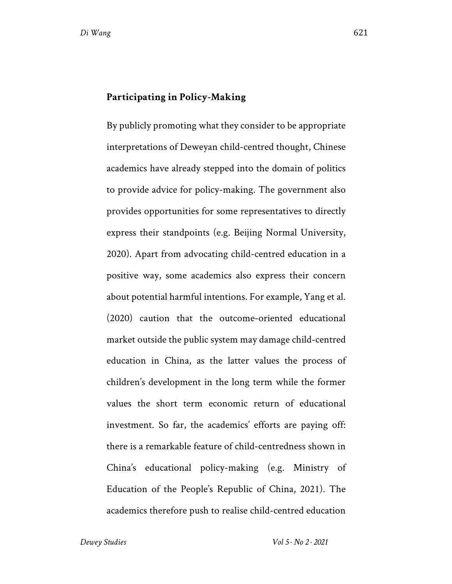#### **Participating in Policy-Making**

By publicly promoting what they consider to be appropriate interpretations of Deweyan child-centred thought, Chinese academics have already stepped into the domain of politics to provide advice for policy-making. The government also provides opportunities for some representatives to directly express their standpoints (e.g. Beijing Normal University, 2020). Apart from advocating child-centred education in a positive way, some academics also express their concern about potential harmful intentions. For example, Yang et al. (2020) caution that the outcome-oriented educational market outside the public system may damage child-centred education in China, as the latter values the process of children's development in the long term while the former values the short term economic return of educational investment. So far, the academics' efforts are paying off: there is a remarkable feature of child-centredness shown in China's educational policy-making (e.g. Ministry of Education of the People's Republic of China, 2021). The academics therefore push to realise child-centred education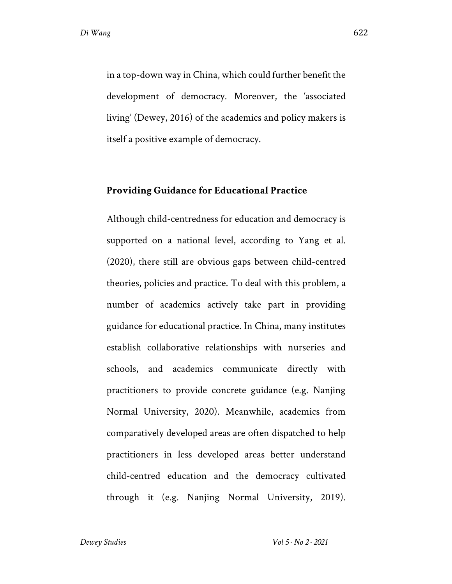in a top-down way in China, which could further benefit the development of democracy. Moreover, the 'associated living' (Dewey, 2016) of the academics and policy makers is itself a positive example of democracy.

#### **Providing Guidance for Educational Practice**

Although child-centredness for education and democracy is supported on a national level, according to Yang et al. (2020), there still are obvious gaps between child-centred theories, policies and practice. To deal with this problem, a number of academics actively take part in providing guidance for educational practice. In China, many institutes establish collaborative relationships with nurseries and schools, and academics communicate directly with practitioners to provide concrete guidance (e.g. Nanjing Normal University, 2020). Meanwhile, academics from comparatively developed areas are often dispatched to help practitioners in less developed areas better understand child-centred education and the democracy cultivated through it (e.g. Nanjing Normal University, 2019).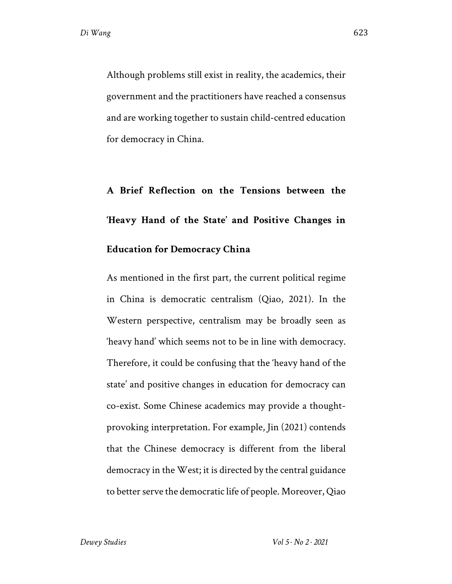Although problems still exist in reality, the academics, their government and the practitioners have reached a consensus and are working together to sustain child-centred education for democracy in China.

## **A Brief Reflection on the Tensions between the 'Heavy Hand of the State' and Positive Changes in Education for Democracy China**

As mentioned in the first part, the current political regime in China is democratic centralism (Qiao, 2021). In the Western perspective, centralism may be broadly seen as 'heavy hand' which seems not to be in line with democracy. Therefore, it could be confusing that the 'heavy hand of the state' and positive changes in education for democracy can co-exist. Some Chinese academics may provide a thoughtprovoking interpretation. For example, Jin (2021) contends that the Chinese democracy is different from the liberal democracy in the West; it is directed by the central guidance to better serve the democratic life of people. Moreover, Qiao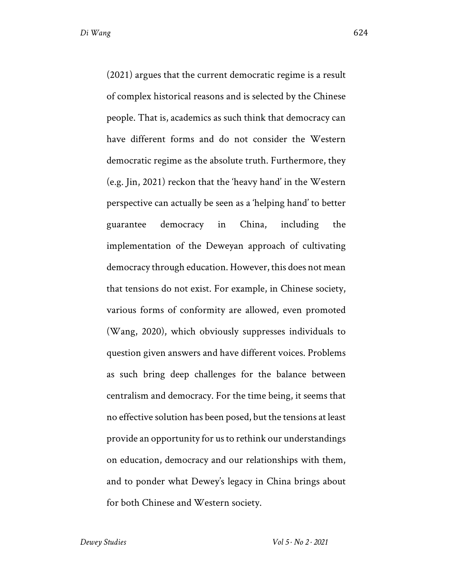(2021) argues that the current democratic regime is a result of complex historical reasons and is selected by the Chinese people. That is, academics as such think that democracy can have different forms and do not consider the Western democratic regime as the absolute truth. Furthermore, they (e.g. Jin, 2021) reckon that the 'heavy hand' in the Western perspective can actually be seen as a 'helping hand' to better guarantee democracy in China, including the implementation of the Deweyan approach of cultivating democracy through education. However, this does not mean that tensions do not exist. For example, in Chinese society, various forms of conformity are allowed, even promoted (Wang, 2020), which obviously suppresses individuals to question given answers and have different voices. Problems as such bring deep challenges for the balance between centralism and democracy. For the time being, it seems that no effective solution has been posed, but the tensions at least provide an opportunity for us to rethink our understandings on education, democracy and our relationships with them, and to ponder what Dewey's legacy in China brings about for both Chinese and Western society.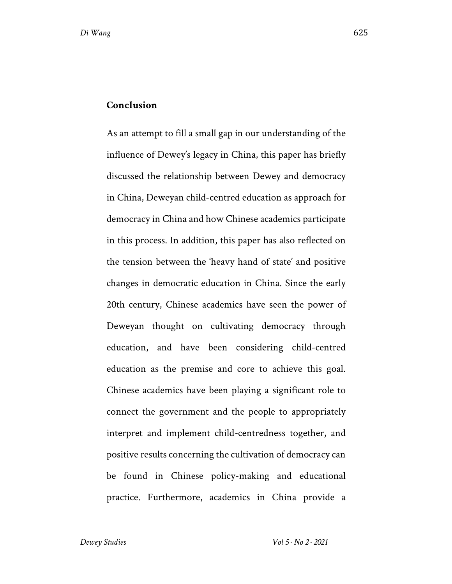#### **Conclusion**

As an attempt to fill a small gap in our understanding of the influence of Dewey's legacy in China, this paper has briefly discussed the relationship between Dewey and democracy in China, Deweyan child-centred education as approach for democracy in China and how Chinese academics participate in this process. In addition, this paper has also reflected on the tension between the 'heavy hand of state' and positive changes in democratic education in China. Since the early 20th century, Chinese academics have seen the power of Deweyan thought on cultivating democracy through education, and have been considering child-centred education as the premise and core to achieve this goal. Chinese academics have been playing a significant role to connect the government and the people to appropriately interpret and implement child-centredness together, and positive results concerning the cultivation of democracy can be found in Chinese policy-making and educational practice. Furthermore, academics in China provide a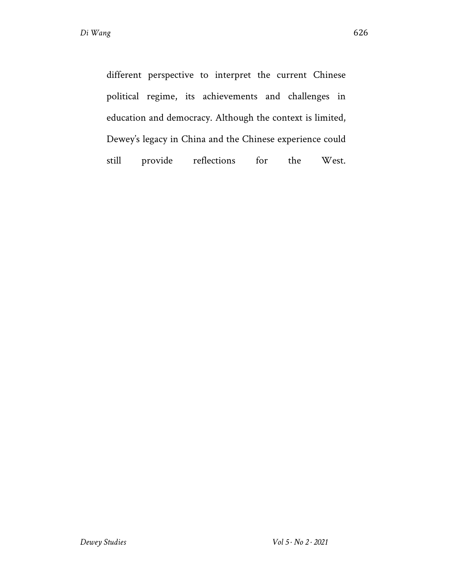different perspective to interpret the current Chinese political regime, its achievements and challenges in education and democracy. Although the context is limited, Dewey's legacy in China and the Chinese experience could still provide reflections for the West.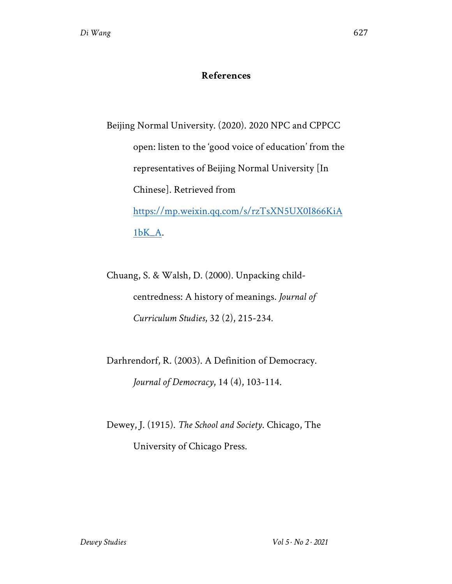#### **References**

Beijing Normal University. (2020). 2020 NPC and CPPCC open: listen to the 'good voice of education' from the representatives of Beijing Normal University [In Chinese]. Retrieved from https://mp.weixin.qq.com/s/rzTsXN5UX0I866KiA 1bK\_A.

Chuang, S. & Walsh, D. (2000). Unpacking childcentredness: A history of meanings. *Journal of Curriculum Studies*, 32 (2), 215-234.

Darhrendorf, R. (2003). A Definition of Democracy. *Journal of Democracy*, 14 (4), 103-114.

Dewey, J. (1915). *The School and Society*. Chicago, The University of Chicago Press.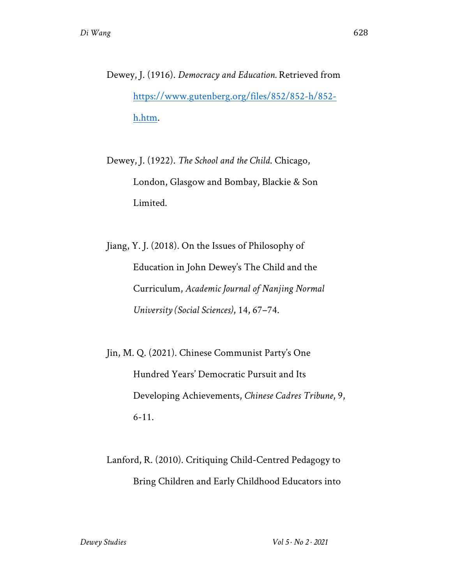Dewey, J. (1916). *Democracy and Education.* Retrieved from https://www.gutenberg.org/files/852/852-h/852 h.htm.

Dewey, J. (1922). *The School and the Child*. Chicago, London, Glasgow and Bombay, Blackie & Son Limited.

Jiang, Y. J. (2018). On the Issues of Philosophy of Education in John Dewey's The Child and the Curriculum, *Academic Journal of Nanjing Normal University (Social Sciences)*, 14, 67–74.

Jin, M. Q. (2021). Chinese Communist Party's One Hundred Years' Democratic Pursuit and Its Developing Achievements, *Chinese Cadres Tribune*, 9, 6-11.

Lanford, R. (2010). Critiquing Child-Centred Pedagogy to Bring Children and Early Childhood Educators into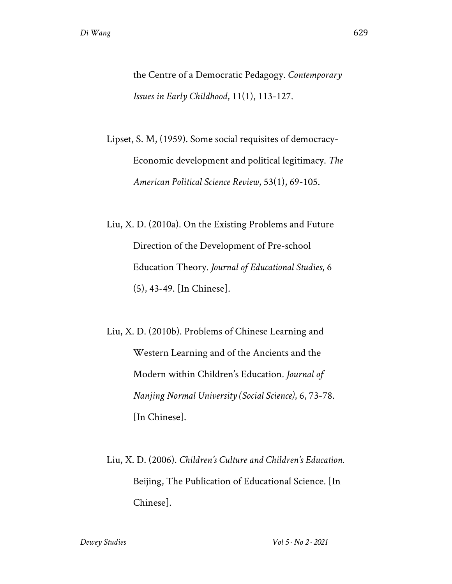the Centre of a Democratic Pedagogy. *Contemporary Issues in Early Childhood*, 11(1), 113-127.

Lipset, S. M, (1959). Some social requisites of democracy-Economic development and political legitimacy. *The American Political Science Review*, 53(1), 69-105.

Liu, X. D. (2010a). On the Existing Problems and Future Direction of the Development of Pre-school Education Theory. *Journal of Educational Studies*, 6 (5), 43-49. [In Chinese].

Liu, X. D. (2010b). Problems of Chinese Learning and Western Learning and of the Ancients and the Modern within Children's Education. *Journal of Nanjing Normal University (Social Science)*, 6, 73-78. [In Chinese].

Liu, X. D. (2006). *Children's Culture and Children's Education*. Beijing, The Publication of Educational Science. [In Chinese].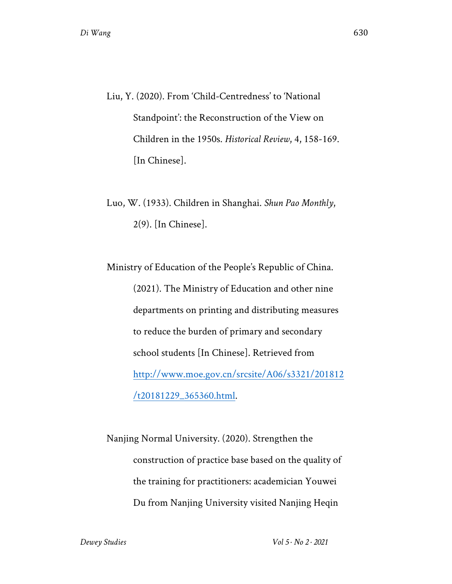- Liu, Y. (2020). From 'Child-Centredness' to 'National Standpoint': the Reconstruction of the View on Children in the 1950s. *Historical Review*, 4, 158-169. [In Chinese].
- Luo, W. (1933). Children in Shanghai. *Shun Pao Monthly*, 2(9). [In Chinese].

Ministry of Education of the People's Republic of China. (2021). The Ministry of Education and other nine departments on printing and distributing measures to reduce the burden of primary and secondary school students [In Chinese]. Retrieved from http://www.moe.gov.cn/srcsite/A06/s3321/201812 /t20181229\_365360.html.

Nanjing Normal University. (2020). Strengthen the construction of practice base based on the quality of the training for practitioners: academician Youwei Du from Nanjing University visited Nanjing Heqin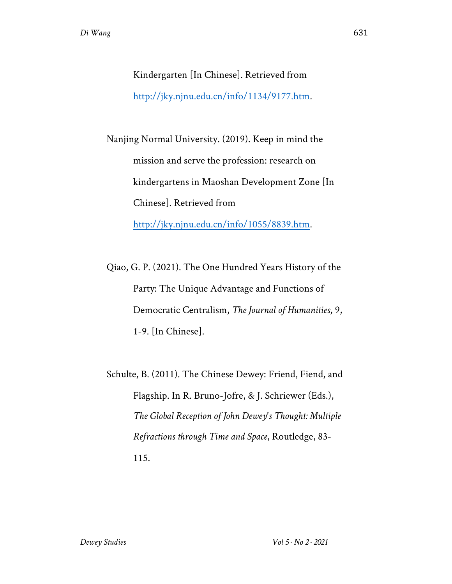Kindergarten [In Chinese]. Retrieved from http://jky.njnu.edu.cn/info/1134/9177.htm.

Nanjing Normal University. (2019). Keep in mind the mission and serve the profession: research on kindergartens in Maoshan Development Zone [In Chinese]. Retrieved from http://jky.njnu.edu.cn/info/1055/8839.htm.

Qiao, G. P. (2021). The One Hundred Years History of the Party: The Unique Advantage and Functions of Democratic Centralism, *The Journal of Humanities*, 9, 1-9. [In Chinese].

Schulte, B. (2011). The Chinese Dewey: Friend, Fiend, and Flagship. In R. Bruno-Jofre, & J. Schriewer (Eds.), *The Global Reception of John Dewey's Thought: Multiple Refractions through Time and Space*, Routledge, 83- 115.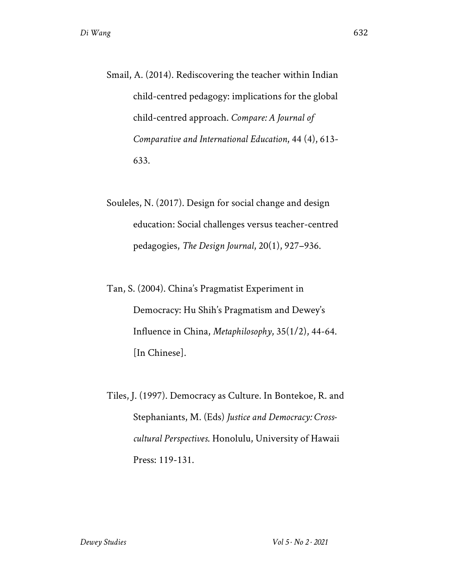- Smail, A. (2014). Rediscovering the teacher within Indian child-centred pedagogy: implications for the global child-centred approach. *Compare: A Journal of Comparative and International Education*, 44 (4), 613- 633.
- Souleles, N. (2017). Design for social change and design education: Social challenges versus teacher-centred pedagogies, *The Design Journal*, 20(1), 927–936.
- Tan, S. (2004). China's Pragmatist Experiment in Democracy: Hu Shih's Pragmatism and Dewey's Influence in China, *Metaphilosophy*, 35(1/2), 44-64. [In Chinese].
- Tiles, J. (1997). Democracy as Culture. In Bontekoe, R. and Stephaniants, M. (Eds) *Justice and Democracy: Crosscultural Perspectives*. Honolulu, University of Hawaii Press: 119-131.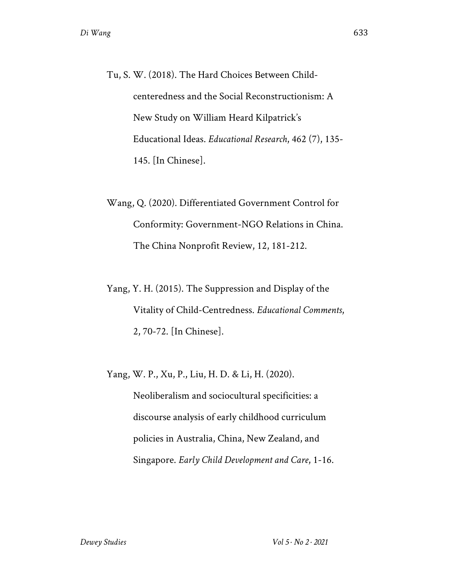- Tu, S. W. (2018). The Hard Choices Between Childcenteredness and the Social Reconstructionism: A New Study on William Heard Kilpatrick's Educational Ideas. *Educational Research*, 462 (7), 135- 145. [In Chinese].
- Wang, Q. (2020). Differentiated Government Control for Conformity: Government-NGO Relations in China. The China Nonprofit Review, 12, 181-212.
- Yang, Y. H. (2015). The Suppression and Display of the Vitality of Child-Centredness. *Educational Comments*, 2, 70-72. [In Chinese].

Yang, W. P., Xu, P., Liu, H. D. & Li, H. (2020). Neoliberalism and sociocultural specificities: a discourse analysis of early childhood curriculum policies in Australia, China, New Zealand, and Singapore. *Early Child Development and Care*, 1-16.